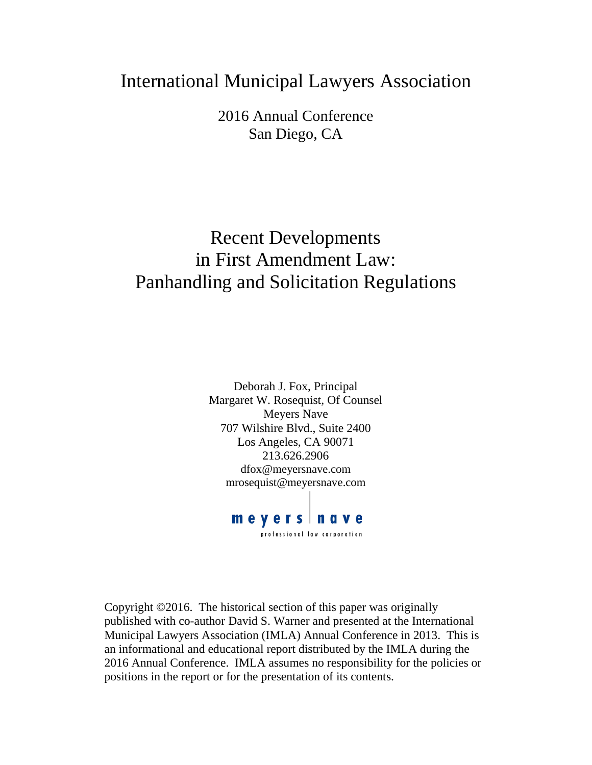## International Municipal Lawyers Association

2016 Annual Conference San Diego, CA

# Recent Developments in First Amendment Law: Panhandling and Solicitation Regulations

Deborah J. Fox, Principal Margaret W. Rosequist, Of Counsel Meyers Nave 707 Wilshire Blvd., Suite 2400 Los Angeles, CA 90071 213.626.2906 dfox@meyersnave.com mrosequist@meyersnave.com

meyers nave

professional law corporation

Copyright ©2016. The historical section of this paper was originally published with co-author David S. Warner and presented at the International Municipal Lawyers Association (IMLA) Annual Conference in 2013. This is an informational and educational report distributed by the IMLA during the 2016 Annual Conference. IMLA assumes no responsibility for the policies or positions in the report or for the presentation of its contents.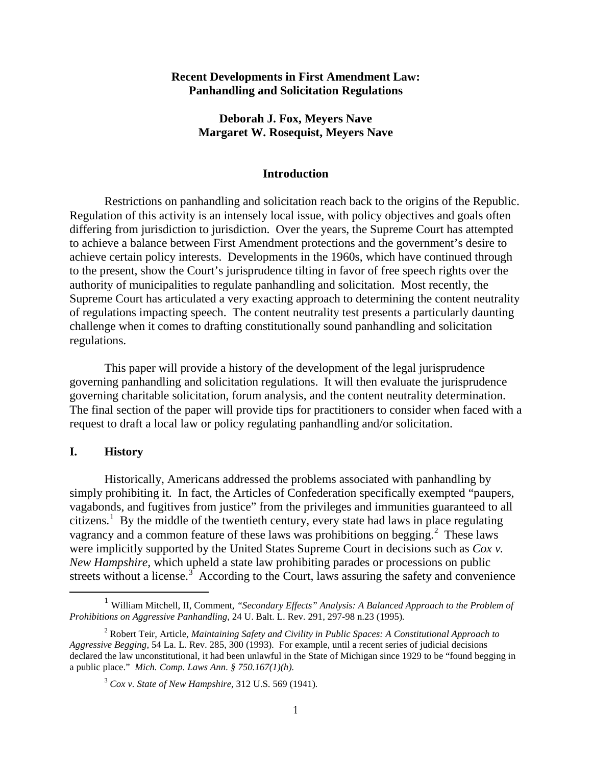#### **Recent Developments in First Amendment Law: Panhandling and Solicitation Regulations**

#### **Deborah J. Fox, Meyers Nave Margaret W. Rosequist, Meyers Nave**

#### **Introduction**

Restrictions on panhandling and solicitation reach back to the origins of the Republic. Regulation of this activity is an intensely local issue, with policy objectives and goals often differing from jurisdiction to jurisdiction. Over the years, the Supreme Court has attempted to achieve a balance between First Amendment protections and the government's desire to achieve certain policy interests. Developments in the 1960s, which have continued through to the present, show the Court's jurisprudence tilting in favor of free speech rights over the authority of municipalities to regulate panhandling and solicitation. Most recently, the Supreme Court has articulated a very exacting approach to determining the content neutrality of regulations impacting speech. The content neutrality test presents a particularly daunting challenge when it comes to drafting constitutionally sound panhandling and solicitation regulations.

This paper will provide a history of the development of the legal jurisprudence governing panhandling and solicitation regulations. It will then evaluate the jurisprudence governing charitable solicitation, forum analysis, and the content neutrality determination. The final section of the paper will provide tips for practitioners to consider when faced with a request to draft a local law or policy regulating panhandling and/or solicitation.

#### **I. History**

Historically, Americans addressed the problems associated with panhandling by simply prohibiting it. In fact, the Articles of Confederation specifically exempted "paupers, vagabonds, and fugitives from justice" from the privileges and immunities guaranteed to all citizens.<sup>[1](#page-1-0)</sup> By the middle of the twentieth century, every state had laws in place regulating vagrancy and a common feature of these laws was prohibitions on begging.<sup>[2](#page-1-1)</sup> These laws were implicitly supported by the United States Supreme Court in decisions such as *Cox v. New Hampshire,* which upheld a state law prohibiting parades or processions on public streets without a license. $3<sup>3</sup>$  $3<sup>3</sup>$  According to the Court, laws assuring the safety and convenience

<span id="page-1-0"></span><sup>&</sup>lt;sup>1</sup> William Mitchell, II, Comment, "Secondary Effects" Analysis: A Balanced Approach to the Problem of *Prohibitions on Aggressive Panhandling*, 24 U. Balt. L. Rev. 291, 297-98 n.23 (1995)*.*

<span id="page-1-2"></span><span id="page-1-1"></span><sup>2</sup> Robert Teir, Article, *Maintaining Safety and Civility in Public Spaces: A Constitutional Approach to Aggressive Begging*, 54 La. L. Rev. 285, 300 (1993)*.* For example, until a recent series of judicial decisions declared the law unconstitutional, it had been unlawful in the State of Michigan since 1929 to be "found begging in a public place." *Mich. Comp. Laws Ann. § 750.167(1)(h).*

<sup>3</sup> *Cox v. State of New Hampshire,* 312 U.S. 569 (1941)*.*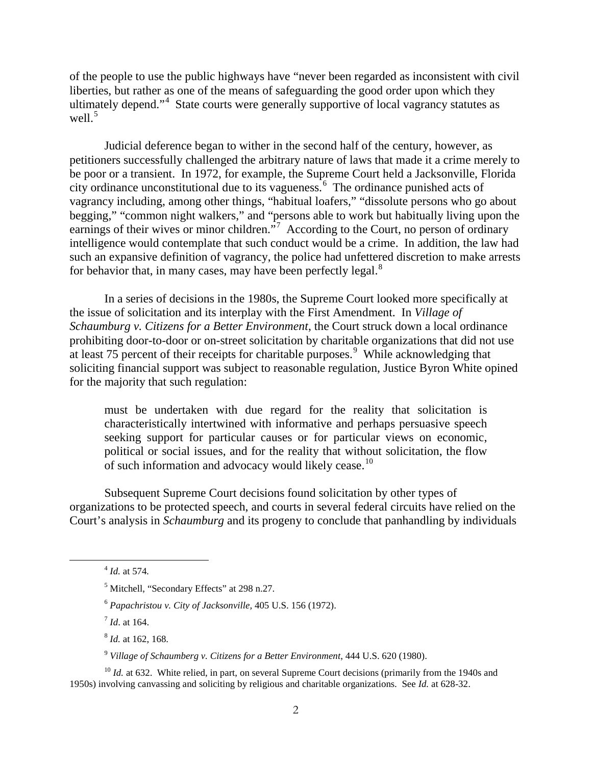of the people to use the public highways have "never been regarded as inconsistent with civil liberties, but rather as one of the means of safeguarding the good order upon which they ultimately depend."<sup>[4](#page-2-0)</sup> State courts were generally supportive of local vagrancy statutes as well.<sup>[5](#page-2-1)</sup>

Judicial deference began to wither in the second half of the century, however, as petitioners successfully challenged the arbitrary nature of laws that made it a crime merely to be poor or a transient. In 1972, for example, the Supreme Court held a Jacksonville, Florida city ordinance unconstitutional due to its vagueness. $\frac{6}{5}$  $\frac{6}{5}$  $\frac{6}{5}$  The ordinance punished acts of vagrancy including, among other things, "habitual loafers," "dissolute persons who go about begging," "common night walkers," and "persons able to work but habitually living upon the earnings of their wives or minor children."<sup>[7](#page-2-3)</sup> According to the Court, no person of ordinary intelligence would contemplate that such conduct would be a crime. In addition, the law had such an expansive definition of vagrancy, the police had unfettered discretion to make arrests for behavior that, in many cases, may have been perfectly legal. $8$ 

In a series of decisions in the 1980s, the Supreme Court looked more specifically at the issue of solicitation and its interplay with the First Amendment. In *Village of Schaumburg v. Citizens for a Better Environment*, the Court struck down a local ordinance prohibiting door-to-door or on-street solicitation by charitable organizations that did not use at least 75 percent of their receipts for charitable purposes. $9$  While acknowledging that soliciting financial support was subject to reasonable regulation, Justice Byron White opined for the majority that such regulation:

must be undertaken with due regard for the reality that solicitation is characteristically intertwined with informative and perhaps persuasive speech seeking support for particular causes or for particular views on economic, political or social issues, and for the reality that without solicitation, the flow of such information and advocacy would likely cease.<sup>[10](#page-2-6)</sup>

Subsequent Supreme Court decisions found solicitation by other types of organizations to be protected speech, and courts in several federal circuits have relied on the Court's analysis in *Schaumburg* and its progeny to conclude that panhandling by individuals

<sup>7</sup> *Id*. at 164.

<sup>8</sup> *Id.* at 162, 168.

<sup>9</sup> *Village of Schaumberg v. Citizens for a Better Environment*, 444 U.S. 620 (1980).

<span id="page-2-6"></span><span id="page-2-5"></span><span id="page-2-4"></span><span id="page-2-3"></span><span id="page-2-2"></span><sup>10</sup> *Id.* at 632. White relied, in part, on several Supreme Court decisions (primarily from the 1940s and 1950s) involving canvassing and soliciting by religious and charitable organizations. See *Id.* at 628-32.

<span id="page-2-0"></span><sup>4</sup> *Id.* at 574*.*

<span id="page-2-1"></span><sup>5</sup> Mitchell, "Secondary Effects" at 298 n.27.

<sup>6</sup> *Papachristou v. City of Jacksonville,* 405 U.S. 156 (1972).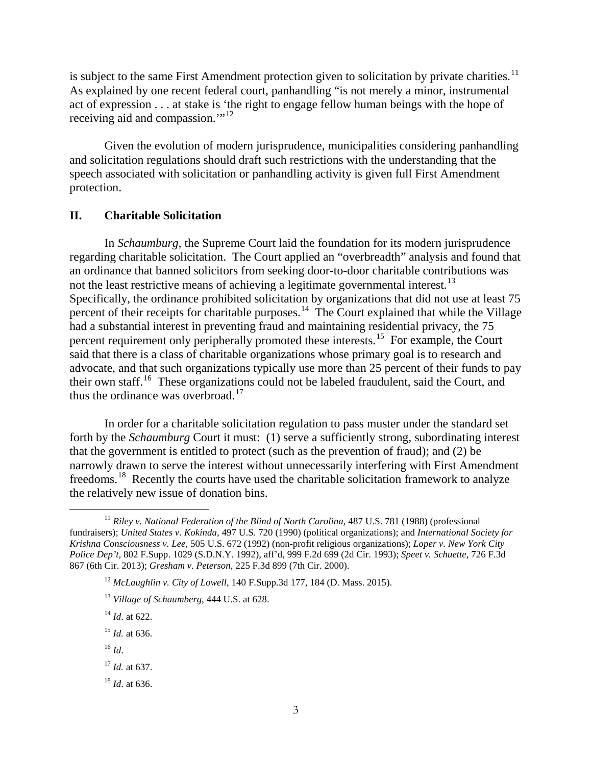is subject to the same First Amendment protection given to solicitation by private charities.<sup>11</sup> As explained by one recent federal court, panhandling "is not merely a minor, instrumental act of expression . . . at stake is 'the right to engage fellow human beings with the hope of receiving aid and compassion."<sup>[12](#page-3-1)</sup>

Given the evolution of modern jurisprudence, municipalities considering panhandling and solicitation regulations should draft such restrictions with the understanding that the speech associated with solicitation or panhandling activity is given full First Amendment protection.

#### **II. Charitable Solicitation**

In *Schaumburg,* the Supreme Court laid the foundation for its modern jurisprudence regarding charitable solicitation. The Court applied an "overbreadth" analysis and found that an ordinance that banned solicitors from seeking door-to-door charitable contributions was not the least restrictive means of achieving a legitimate governmental interest.<sup>[13](#page-3-2)</sup> Specifically, the ordinance prohibited solicitation by organizations that did not use at least 75 percent of their receipts for charitable purposes.<sup>14</sup> The Court explained that while the Village had a substantial interest in preventing fraud and maintaining residential privacy, the 75 percent requirement only peripherally promoted these interests.<sup>15</sup> For example, the Court said that there is a class of charitable organizations whose primary goal is to research and advocate, and that such organizations typically use more than 25 percent of their funds to pay their own staff.[16](#page-3-5) These organizations could not be labeled fraudulent, said the Court, and thus the ordinance was overbroad. $17$ 

In order for a charitable solicitation regulation to pass muster under the standard set forth by the *Schaumburg* Court it must: (1) serve a sufficiently strong, subordinating interest that the government is entitled to protect (such as the prevention of fraud); and (2) be narrowly drawn to serve the interest without unnecessarily interfering with First Amendment freedoms.[18](#page-3-7) Recently the courts have used the charitable solicitation framework to analyze the relatively new issue of donation bins.

<span id="page-3-5"></span> $16$  *Id.* 

<span id="page-3-7"></span><sup>18</sup> *Id*. at 636.

<span id="page-3-2"></span><span id="page-3-1"></span><span id="page-3-0"></span><sup>&</sup>lt;sup>11</sup> *Riley v. National Federation of the Blind of North Carolina, 487 U.S. 781 (1988) (professional* fundraisers); *United States v. Kokinda,* 497 U.S. 720 (1990) (political organizations); and *International Society for Krishna Consciousness v. Lee,* 505 U.S. 672 (1992) (non-profit religious organizations); *Loper v. New York City Police Dep't,* 802 F.Supp. 1029 (S.D.N.Y. 1992), aff'd, 999 F.2d 699 (2d Cir. 1993); *Speet v. Schuette,* 726 F.3d 867 (6th Cir. 2013); *Gresham v. Peterson,* 225 F.3d 899 (7th Cir. 2000).

<sup>12</sup> *McLaughlin v. City of Lowell*, 140 F.Supp.3d 177, 184 (D. Mass. 2015).

<sup>13</sup> *Village of Schaumberg*, 444 U.S. at 628.

<sup>14</sup> *Id*. at 622.

<span id="page-3-4"></span><span id="page-3-3"></span><sup>15</sup> *Id.* at 636.

<span id="page-3-6"></span><sup>17</sup> *Id.* at 637.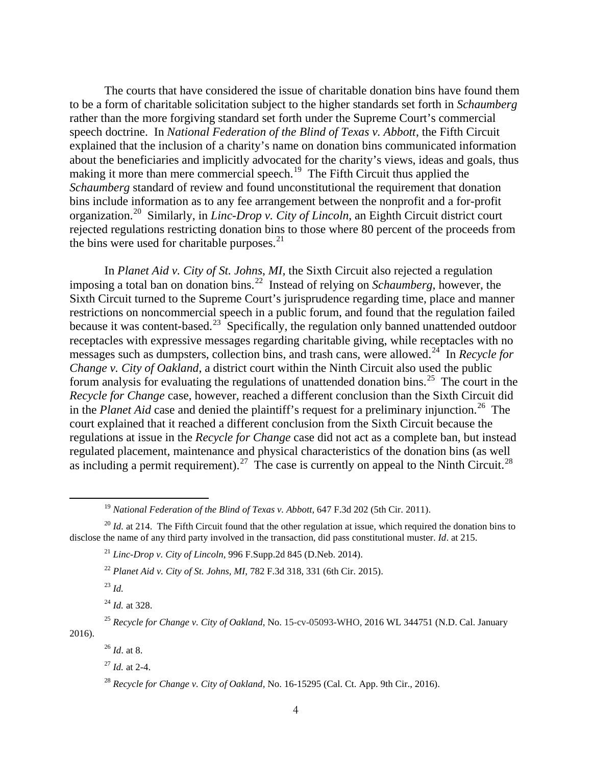The courts that have considered the issue of charitable donation bins have found them to be a form of charitable solicitation subject to the higher standards set forth in *Schaumberg* rather than the more forgiving standard set forth under the Supreme Court's commercial speech doctrine. In *National Federation of the Blind of Texas v. Abbott*, the Fifth Circuit explained that the inclusion of a charity's name on donation bins communicated information about the beneficiaries and implicitly advocated for the charity's views, ideas and goals, thus making it more than mere commercial speech.<sup>[19](#page-4-0)</sup> The Fifth Circuit thus applied the *Schaumberg* standard of review and found unconstitutional the requirement that donation bins include information as to any fee arrangement between the nonprofit and a for-profit organization.[20](#page-4-1) Similarly, in *Linc-Drop v. City of Lincoln*, an Eighth Circuit district court rejected regulations restricting donation bins to those where 80 percent of the proceeds from the bins were used for charitable purposes. $21$ 

In *Planet Aid v. City of St. Johns*, *MI,* the Sixth Circuit also rejected a regulation imposing a total ban on donation bins.[22](#page-4-3) Instead of relying on *Schaumberg*, however, the Sixth Circuit turned to the Supreme Court's jurisprudence regarding time, place and manner restrictions on noncommercial speech in a public forum, and found that the regulation failed because it was content-based.<sup>[23](#page-4-4)</sup> Specifically, the regulation only banned unattended outdoor receptacles with expressive messages regarding charitable giving, while receptacles with no messages such as dumpsters, collection bins, and trash cans, were allowed.<sup>[24](#page-4-5)</sup> In *Recycle for Change v. City of Oakland*, a district court within the Ninth Circuit also used the public forum analysis for evaluating the regulations of unattended donation bins.<sup>[25](#page-4-6)</sup> The court in the *Recycle for Change* case, however, reached a different conclusion than the Sixth Circuit did in the *Planet Aid* case and denied the plaintiff's request for a preliminary injunction.<sup>[26](#page-4-7)</sup> The court explained that it reached a different conclusion from the Sixth Circuit because the regulations at issue in the *Recycle for Change* case did not act as a complete ban, but instead regulated placement, maintenance and physical characteristics of the donation bins (as well as including a permit requirement).<sup>27</sup> The case is currently on appeal to the Ninth Circuit.<sup>28</sup>

<sup>&</sup>lt;sup>19</sup> *National Federation of the Blind of Texas v. Abbott*, 647 F.3d 202 (5th Cir. 2011).

<span id="page-4-3"></span><span id="page-4-2"></span><span id="page-4-1"></span><span id="page-4-0"></span><sup>&</sup>lt;sup>20</sup> *Id.* at 214. The Fifth Circuit found that the other regulation at issue, which required the donation bins to disclose the name of any third party involved in the transaction, did pass constitutional muster. *Id*. at 215.

<sup>&</sup>lt;sup>21</sup> *Linc-Drop v. City of Lincoln*, 996 F.Supp.2d 845 (D.Neb. 2014).

<sup>22</sup> *Planet Aid v. City of St. Johns, MI*, 782 F.3d 318, 331 (6th Cir. 2015).

<sup>23</sup> *Id.*

<sup>24</sup> *Id.* at 328.

<span id="page-4-9"></span><span id="page-4-8"></span><span id="page-4-7"></span><span id="page-4-6"></span><span id="page-4-5"></span><span id="page-4-4"></span><sup>25</sup> *Recycle for Change v. City of Oakland*, No. 15-cv-05093-WHO, 2016 WL 344751 (N.D. Cal. January 2016).

<sup>26</sup> *Id*. at 8.

<sup>27</sup> *Id.* at 2-4.

<sup>28</sup> *Recycle for Change v. City of Oakland,* No. 16-15295 (Cal. Ct. App. 9th Cir., 2016).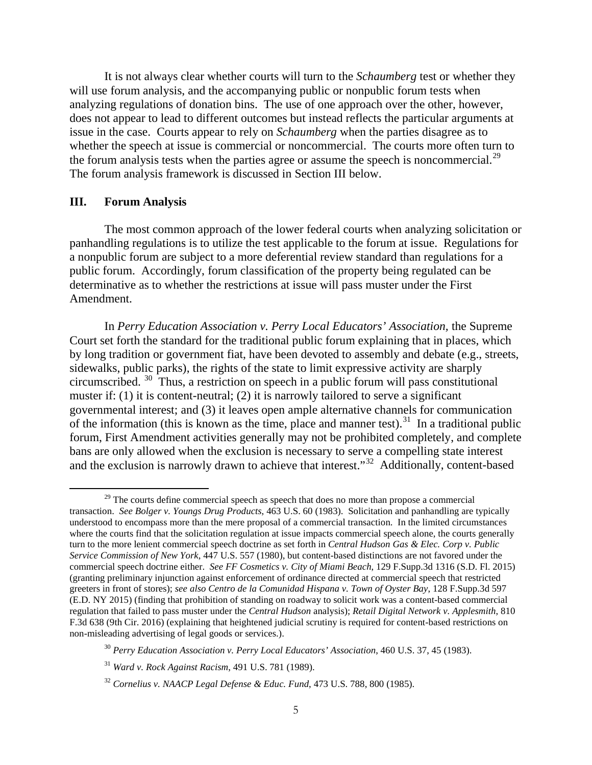It is not always clear whether courts will turn to the *Schaumberg* test or whether they will use forum analysis, and the accompanying public or nonpublic forum tests when analyzing regulations of donation bins. The use of one approach over the other, however, does not appear to lead to different outcomes but instead reflects the particular arguments at issue in the case. Courts appear to rely on *Schaumberg* when the parties disagree as to whether the speech at issue is commercial or noncommercial. The courts more often turn to the forum analysis tests when the parties agree or assume the speech is noncommercial.<sup>[29](#page-5-0)</sup> The forum analysis framework is discussed in Section III below.

#### **III. Forum Analysis**

The most common approach of the lower federal courts when analyzing solicitation or panhandling regulations is to utilize the test applicable to the forum at issue. Regulations for a nonpublic forum are subject to a more deferential review standard than regulations for a public forum. Accordingly, forum classification of the property being regulated can be determinative as to whether the restrictions at issue will pass muster under the First Amendment.

In *Perry Education Association v. Perry Local Educators' Association,* the Supreme Court set forth the standard for the traditional public forum explaining that in places, which by long tradition or government fiat, have been devoted to assembly and debate (e.g., streets, sidewalks, public parks), the rights of the state to limit expressive activity are sharply circumscribed. [30](#page-5-1) Thus, a restriction on speech in a public forum will pass constitutional muster if: (1) it is content-neutral; (2) it is narrowly tailored to serve a significant governmental interest; and (3) it leaves open ample alternative channels for communication of the information (this is known as the time, place and manner test).<sup>[31](#page-5-2)</sup> In a traditional public forum, First Amendment activities generally may not be prohibited completely, and complete bans are only allowed when the exclusion is necessary to serve a compelling state interest and the exclusion is narrowly drawn to achieve that interest."[32](#page-5-3) Additionally, content-based

<span id="page-5-0"></span><sup>&</sup>lt;sup>29</sup> The courts define commercial speech as speech that does no more than propose a commercial transaction. *See Bolger v. Youngs Drug Products*, 463 U.S. 60 (1983). Solicitation and panhandling are typically understood to encompass more than the mere proposal of a commercial transaction. In the limited circumstances where the courts find that the solicitation regulation at issue impacts commercial speech alone, the courts generally turn to the more lenient commercial speech doctrine as set forth in *Central Hudson Gas & Elec. Corp v. Public Service Commission of New York*, 447 U.S. 557 (1980), but content-based distinctions are not favored under the commercial speech doctrine either. *See FF Cosmetics v. City of Miami Beach*, 129 F.Supp.3d 1316 (S.D. Fl. 2015) (granting preliminary injunction against enforcement of ordinance directed at commercial speech that restricted greeters in front of stores); *see also Centro de la Comunidad Hispana v. Town of Oyster Bay*, 128 F.Supp.3d 597 (E.D. NY 2015) (finding that prohibition of standing on roadway to solicit work was a content-based commercial regulation that failed to pass muster under the *Central Hudson* analysis); *Retail Digital Network v. Applesmith*, 810 F.3d 638 (9th Cir. 2016) (explaining that heightened judicial scrutiny is required for content-based restrictions on non-misleading advertising of legal goods or services.).

<span id="page-5-1"></span><sup>30</sup> *Perry Education Association v. Perry Local Educators' Association*, 460 U.S. 37, 45 (1983).

<span id="page-5-2"></span><sup>31</sup> *Ward v. Rock Against Racism*, 491 U.S. 781 (1989).

<span id="page-5-3"></span><sup>32</sup> *Cornelius v. NAACP Legal Defense & Educ. Fund*, 473 U.S. 788, 800 (1985).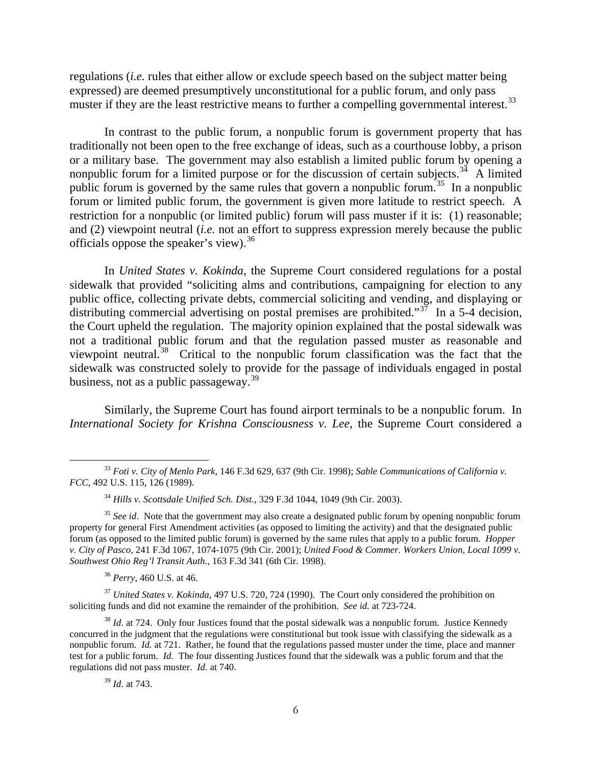regulations (*i.e.* rules that either allow or exclude speech based on the subject matter being expressed) are deemed presumptively unconstitutional for a public forum, and only pass muster if they are the least restrictive means to further a compelling governmental interest.<sup>33</sup>

In contrast to the public forum, a nonpublic forum is government property that has traditionally not been open to the free exchange of ideas, such as a courthouse lobby, a prison or a military base. The government may also establish a limited public forum by opening a nonpublic forum for a limited purpose or for the discussion of certain subjects.<sup>34</sup> A limited public forum is governed by the same rules that govern a nonpublic forum.<sup>35</sup> In a nonpublic forum or limited public forum, the government is given more latitude to restrict speech. A restriction for a nonpublic (or limited public) forum will pass muster if it is: (1) reasonable; and (2) viewpoint neutral (*i.e.* not an effort to suppress expression merely because the public officials oppose the speaker's view).<sup>36</sup>

In *United States v. Kokinda*, the Supreme Court considered regulations for a postal sidewalk that provided "soliciting alms and contributions, campaigning for election to any public office, collecting private debts, commercial soliciting and vending, and displaying or distributing commercial advertising on postal premises are prohibited."<sup>37</sup> In a 5-4 decision, the Court upheld the regulation. The majority opinion explained that the postal sidewalk was not a traditional public forum and that the regulation passed muster as reasonable and viewpoint neutral.<sup>[38](#page-6-5)</sup> Critical to the nonpublic forum classification was the fact that the sidewalk was constructed solely to provide for the passage of individuals engaged in postal business, not as a public passageway.<sup>39</sup>

Similarly, the Supreme Court has found airport terminals to be a nonpublic forum. In *International Society for Krishna Consciousness v. Lee*, the Supreme Court considered a

<span id="page-6-0"></span><sup>33</sup> *Foti v. City of Menlo Park*, 146 F.3d 629, 637 (9th Cir. 1998); *Sable Communications of California v. FCC*, 492 U.S. 115, 126 (1989).

<sup>34</sup> *Hills v. Scottsdale Unified Sch. Dist.,* 329 F.3d 1044, 1049 (9th Cir. 2003).

<span id="page-6-2"></span><span id="page-6-1"></span><sup>&</sup>lt;sup>35</sup> See id. Note that the government may also create a designated public forum by opening nonpublic forum property for general First Amendment activities (as opposed to limiting the activity) and that the designated public forum (as opposed to the limited public forum) is governed by the same rules that apply to a public forum. *Hopper v. City of Pasco*, 241 F.3d 1067, 1074-1075 (9th Cir. 2001); *United Food & Commer. Workers Union, Local 1099 v. Southwest Ohio Reg'l Transit Auth.*, 163 F.3d 341 (6th Cir. 1998).

<sup>36</sup> *Perry*, 460 U.S. at 46.

<span id="page-6-4"></span><span id="page-6-3"></span><sup>&</sup>lt;sup>37</sup> *United States v. Kokinda*, 497 U.S. 720, 724 (1990). The Court only considered the prohibition on soliciting funds and did not examine the remainder of the prohibition. *See id.* at 723-724.

<span id="page-6-6"></span><span id="page-6-5"></span><sup>&</sup>lt;sup>38</sup> *Id.* at 724. Only four Justices found that the postal sidewalk was a nonpublic forum. Justice Kennedy concurred in the judgment that the regulations were constitutional but took issue with classifying the sidewalk as a nonpublic forum. *Id.* at 721. Rather, he found that the regulations passed muster under the time, place and manner test for a public forum. *Id.* The four dissenting Justices found that the sidewalk was a public forum and that the regulations did not pass muster. *Id.* at 740.

<sup>39</sup> *Id.* at 743.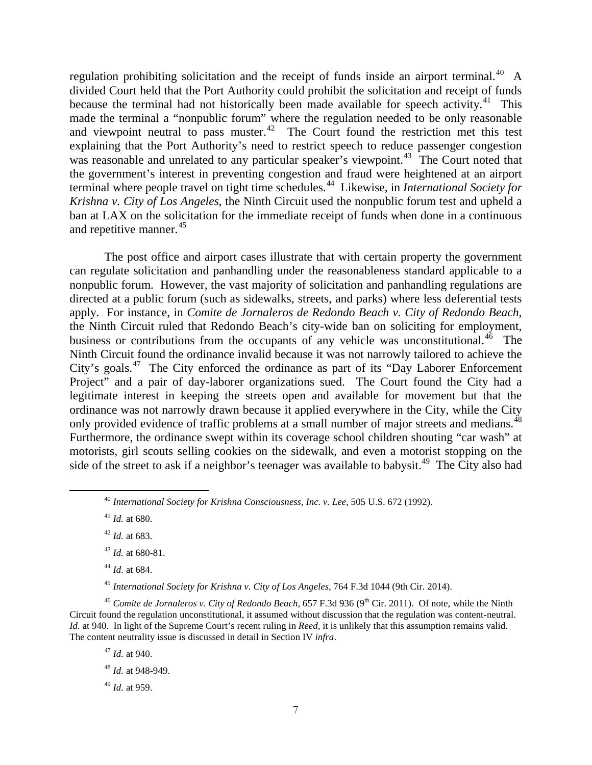regulation prohibiting solicitation and the receipt of funds inside an airport terminal.<sup>[40](#page-7-0)</sup> A divided Court held that the Port Authority could prohibit the solicitation and receipt of funds because the terminal had not historically been made available for speech activity.<sup>41</sup> This made the terminal a "nonpublic forum" where the regulation needed to be only reasonable and viewpoint neutral to pass muster. $42$  The Court found the restriction met this test explaining that the Port Authority's need to restrict speech to reduce passenger congestion was reasonable and unrelated to any particular speaker's viewpoint.<sup>43</sup> The Court noted that the government's interest in preventing congestion and fraud were heightened at an airport terminal where people travel on tight time schedules.[44](#page-7-4) Likewise, in *International Society for Krishna v. City of Los Angeles*, the Ninth Circuit used the nonpublic forum test and upheld a ban at LAX on the solicitation for the immediate receipt of funds when done in a continuous and repetitive manner.<sup>45</sup>

The post office and airport cases illustrate that with certain property the government can regulate solicitation and panhandling under the reasonableness standard applicable to a nonpublic forum. However, the vast majority of solicitation and panhandling regulations are directed at a public forum (such as sidewalks, streets, and parks) where less deferential tests apply. For instance, in *Comite de Jornaleros de Redondo Beach v. City of Redondo Beach,* the Ninth Circuit ruled that Redondo Beach's city-wide ban on soliciting for employment, business or contributions from the occupants of any vehicle was unconstitutional.<sup>[46](#page-7-6)</sup> The Ninth Circuit found the ordinance invalid because it was not narrowly tailored to achieve the City's goals.<sup>[47](#page-7-7)</sup> The City enforced the ordinance as part of its "Day Laborer Enforcement" Project" and a pair of day-laborer organizations sued. The Court found the City had a legitimate interest in keeping the streets open and available for movement but that the ordinance was not narrowly drawn because it applied everywhere in the City, while the City only provided evidence of traffic problems at a small number of major streets and medians.<sup>[48](#page-7-8)</sup> Furthermore, the ordinance swept within its coverage school children shouting "car wash" at motorists, girl scouts selling cookies on the sidewalk, and even a motorist stopping on the side of the street to ask if a neighbor's teenager was available to babysit.<sup>49</sup> The City also had

<sup>44</sup> *Id.* at 684.

<sup>45</sup> *International Society for Krishna v. City of Los Angeles*, 764 F.3d 1044 (9th Cir. 2014).

<span id="page-7-8"></span><span id="page-7-7"></span><span id="page-7-6"></span><span id="page-7-5"></span><span id="page-7-4"></span><span id="page-7-3"></span><span id="page-7-2"></span><sup>46</sup> Comite de Jornaleros v. City of Redondo Beach, 657 F.3d 936 (9<sup>th</sup> Cir. 2011). Of note, while the Ninth Circuit found the regulation unconstitutional, it assumed without discussion that the regulation was content-neutral. *Id.* at 940. In light of the Supreme Court's recent ruling in *Reed*, it is unlikely that this assumption remains valid. The content neutrality issue is discussed in detail in Section IV *infra*.

<sup>47</sup> *Id.* at 940.

<sup>48</sup> *Id.* at 948-949.

<span id="page-7-9"></span><sup>49</sup> *Id.* at 959.

<span id="page-7-0"></span><sup>40</sup> *International Society for Krishna Consciousness, Inc. v. Lee*, 505 U.S. 672 (1992).

<span id="page-7-1"></span> $41$  *Id.* at 680.

<sup>42</sup> *Id.* at 683.

<sup>43</sup> *Id.* at 680-81.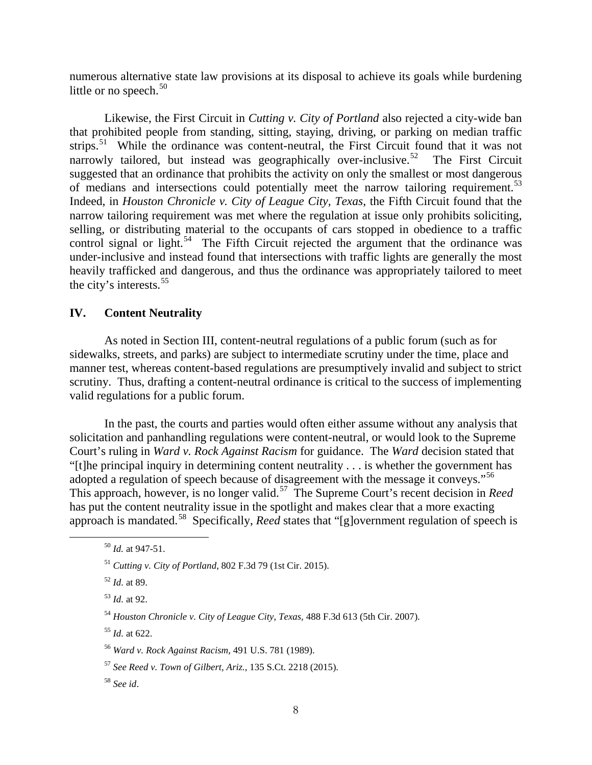numerous alternative state law provisions at its disposal to achieve its goals while burdening little or no speech. $50$ 

Likewise, the First Circuit in *Cutting v. City of Portland* also rejected a city-wide ban that prohibited people from standing, sitting, staying, driving, or parking on median traffic strips.<sup>51</sup> While the ordinance was content-neutral, the First Circuit found that it was not narrowly tailored, but instead was geographically over-inclusive.<sup>52</sup> The First Circuit suggested that an ordinance that prohibits the activity on only the smallest or most dangerous of medians and intersections could potentially meet the narrow tailoring requirement.<sup>[53](#page-8-3)</sup> Indeed, in *Houston Chronicle v. City of League City, Texas*, the Fifth Circuit found that the narrow tailoring requirement was met where the regulation at issue only prohibits soliciting, selling, or distributing material to the occupants of cars stopped in obedience to a traffic control signal or light.<sup>[54](#page-8-4)</sup> The Fifth Circuit rejected the argument that the ordinance was under-inclusive and instead found that intersections with traffic lights are generally the most heavily trafficked and dangerous, and thus the ordinance was appropriately tailored to meet the city's interests.<sup>55</sup>

#### **IV. Content Neutrality**

As noted in Section III, content-neutral regulations of a public forum (such as for sidewalks, streets, and parks) are subject to intermediate scrutiny under the time, place and manner test, whereas content-based regulations are presumptively invalid and subject to strict scrutiny. Thus, drafting a content-neutral ordinance is critical to the success of implementing valid regulations for a public forum.

In the past, the courts and parties would often either assume without any analysis that solicitation and panhandling regulations were content-neutral, or would look to the Supreme Court's ruling in *Ward v. Rock Against Racism* for guidance. The *Ward* decision stated that "[t]he principal inquiry in determining content neutrality . . . is whether the government has adopted a regulation of speech because of disagreement with the message it conveys."<sup>[56](#page-8-6)</sup> This approach, however, is no longer valid.[57](#page-8-7) The Supreme Court's recent decision in *Reed*  has put the content neutrality issue in the spotlight and makes clear that a more exacting approach is mandated.[58](#page-8-8) Specifically, *Reed* states that "[g]overnment regulation of speech is

<span id="page-8-0"></span><sup>50</sup> *Id.* at 947-51.

<span id="page-8-1"></span><sup>51</sup> *Cutting v. City of Portland*, 802 F.3d 79 (1st Cir. 2015).

<span id="page-8-2"></span><sup>52</sup> *Id.* at 89.

<span id="page-8-3"></span><sup>53</sup> *Id.* at 92.

<span id="page-8-4"></span><sup>54</sup> *Houston Chronicle v. City of League City*, *Texas,* 488 F.3d 613 (5th Cir. 2007).

<span id="page-8-5"></span><sup>55</sup> *Id.* at 622.

<span id="page-8-6"></span><sup>56</sup> *Ward v. Rock Against Racism*, 491 U.S. 781 (1989).

<span id="page-8-7"></span><sup>57</sup> *See Reed v. Town of Gilbert, Ariz.*, 135 S.Ct. 2218 (2015).

<span id="page-8-8"></span><sup>58</sup> *See id*.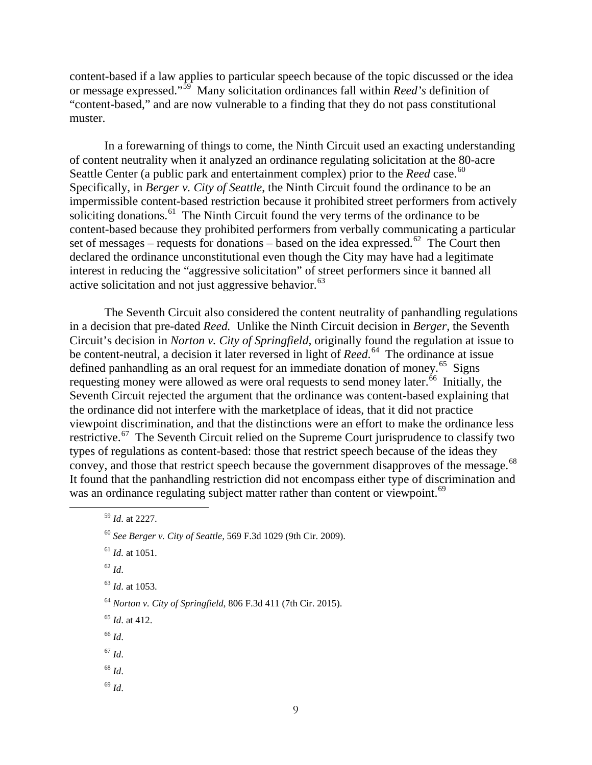content-based if a law applies to particular speech because of the topic discussed or the idea or message expressed."[59](#page-9-0) Many solicitation ordinances fall within *Reed's* definition of "content-based," and are now vulnerable to a finding that they do not pass constitutional muster.

In a forewarning of things to come, the Ninth Circuit used an exacting understanding of content neutrality when it analyzed an ordinance regulating solicitation at the 80-acre Seattle Center (a public park and entertainment complex) prior to the *Reed* case.<sup>60</sup> Specifically, in *Berger v. City of Seattle*, the Ninth Circuit found the ordinance to be an impermissible content-based restriction because it prohibited street performers from actively soliciting donations.<sup>[61](#page-9-2)</sup> The Ninth Circuit found the very terms of the ordinance to be content-based because they prohibited performers from verbally communicating a particular set of messages – requests for donations – based on the idea expressed.<sup>62</sup> The Court then declared the ordinance unconstitutional even though the City may have had a legitimate interest in reducing the "aggressive solicitation" of street performers since it banned all active solicitation and not just aggressive behavior. $^{63}$  $^{63}$  $^{63}$ 

The Seventh Circuit also considered the content neutrality of panhandling regulations in a decision that pre-dated *Reed.* Unlike the Ninth Circuit decision in *Berger*, the Seventh Circuit's decision in *Norton v. City of Springfield,* originally found the regulation at issue to be content-neutral, a decision it later reversed in light of *Reed*. [64](#page-9-5) The ordinance at issue defined panhandling as an oral request for an immediate donation of money.<sup>[65](#page-9-6)</sup> Signs requesting money were allowed as were oral requests to send money later. $\frac{66}{6}$  $\frac{66}{6}$  $\frac{66}{6}$  Initially, the Seventh Circuit rejected the argument that the ordinance was content-based explaining that the ordinance did not interfere with the marketplace of ideas, that it did not practice viewpoint discrimination, and that the distinctions were an effort to make the ordinance less restrictive.<sup>67</sup> The Seventh Circuit relied on the Supreme Court jurisprudence to classify two types of regulations as content-based: those that restrict speech because of the ideas they convey, and those that restrict speech because the government disapproves of the message.<sup>68</sup> It found that the panhandling restriction did not encompass either type of discrimination and was an ordinance regulating subject matter rather than content or viewpoint.<sup>[69](#page-9-10)</sup>

<sup>62</sup> *Id*.

<span id="page-9-4"></span><sup>63</sup> *Id*. at 1053.

- <sup>65</sup> *Id*. at 412.
- <span id="page-9-7"></span><span id="page-9-6"></span><sup>66</sup> *Id*.
- <span id="page-9-8"></span> $^{67}$  *Id.*
- <span id="page-9-9"></span><sup>68</sup> *Id*.
- <span id="page-9-10"></span><sup>69</sup> *Id*.

<span id="page-9-0"></span><sup>59</sup> *Id*. at 2227.

<sup>60</sup> *See Berger v. City of Seattle,* 569 F.3d 1029 (9th Cir. 2009).

<span id="page-9-3"></span><span id="page-9-2"></span><span id="page-9-1"></span><sup>61</sup> *Id.* at 1051.

<span id="page-9-5"></span><sup>64</sup> *Norton v. City of Springfield*, 806 F.3d 411 (7th Cir. 2015).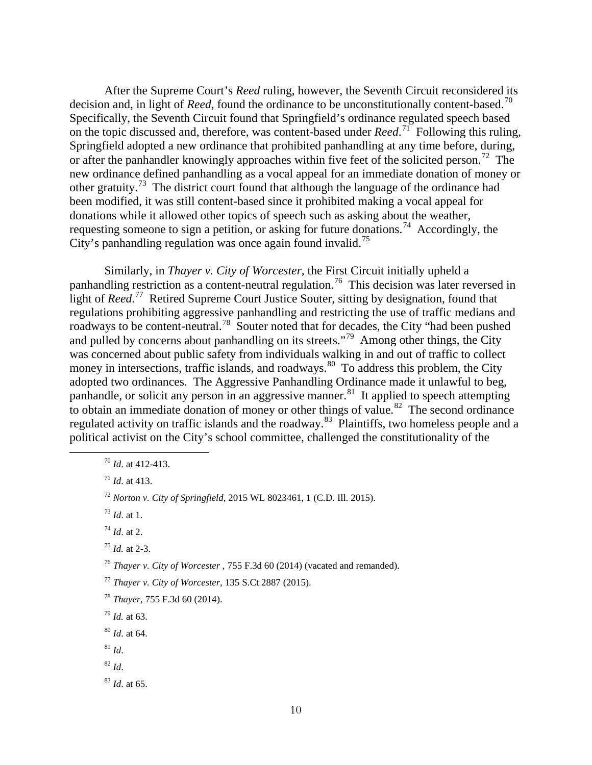After the Supreme Court's *Reed* ruling, however, the Seventh Circuit reconsidered its decision and, in light of *Reed*, found the ordinance to be unconstitutionally content-based.<sup>[70](#page-10-0)</sup> Specifically, the Seventh Circuit found that Springfield's ordinance regulated speech based on the topic discussed and, therefore, was content-based under *Reed*. [71](#page-10-1) Following this ruling, Springfield adopted a new ordinance that prohibited panhandling at any time before, during, or after the panhandler knowingly approaches within five feet of the solicited person.<sup>72</sup> The new ordinance defined panhandling as a vocal appeal for an immediate donation of money or other gratuity.<sup>[73](#page-10-3)</sup> The district court found that although the language of the ordinance had been modified, it was still content-based since it prohibited making a vocal appeal for donations while it allowed other topics of speech such as asking about the weather, requesting someone to sign a petition, or asking for future donations.<sup>[74](#page-10-4)</sup> Accordingly, the City's panhandling regulation was once again found invalid.<sup>75</sup>

Similarly, in *Thayer v. City of Worcester,* the First Circuit initially upheld a panhandling restriction as a content-neutral regulation.<sup>[76](#page-10-6)</sup> This decision was later reversed in light of *Reed*. [77](#page-10-7) Retired Supreme Court Justice Souter, sitting by designation, found that regulations prohibiting aggressive panhandling and restricting the use of traffic medians and roadways to be content-neutral.<sup>[78](#page-10-8)</sup> Souter noted that for decades, the City "had been pushed and pulled by concerns about panhandling on its streets."[79](#page-10-9) Among other things, the City was concerned about public safety from individuals walking in and out of traffic to collect money in intersections, traffic islands, and roadways.<sup>80</sup> To address this problem, the City adopted two ordinances. The Aggressive Panhandling Ordinance made it unlawful to beg, panhandle, or solicit any person in an aggressive manner.<sup>[81](#page-10-11)</sup> It applied to speech attempting to obtain an immediate donation of money or other things of value.<sup>[82](#page-10-12)</sup> The second ordinance regulated activity on traffic islands and the roadway.<sup>83</sup> Plaintiffs, two homeless people and a political activist on the City's school committee, challenged the constitutionality of the

<sup>83</sup> *Id*. at 65.

<span id="page-10-0"></span><sup>70</sup> *Id*. at 412-413.

<span id="page-10-1"></span><sup>71</sup> *Id*. at 413.

<span id="page-10-2"></span><sup>72</sup> *Norton v. City of Springfield*, 2015 WL 8023461, 1 (C.D. Ill. 2015).

<span id="page-10-3"></span><sup>73</sup> *Id*. at 1.

<span id="page-10-4"></span><sup>74</sup> *Id*. at 2.

<span id="page-10-5"></span><sup>75</sup> *Id.* at 2-3.

<span id="page-10-6"></span><sup>76</sup> *Thayer v. City of Worcester* , 755 F.3d 60 (2014) (vacated and remanded).

<span id="page-10-7"></span><sup>77</sup> *Thayer v. City of Worcester*, 135 S.Ct 2887 (2015).

<span id="page-10-8"></span><sup>78</sup> *Thayer*, 755 F.3d 60 (2014).

<sup>79</sup> *Id.* at 63.

<span id="page-10-10"></span><span id="page-10-9"></span><sup>80</sup> *Id*. at 64.

<span id="page-10-11"></span> $81$  *Id.* 

<span id="page-10-13"></span><span id="page-10-12"></span><sup>82</sup> *Id*.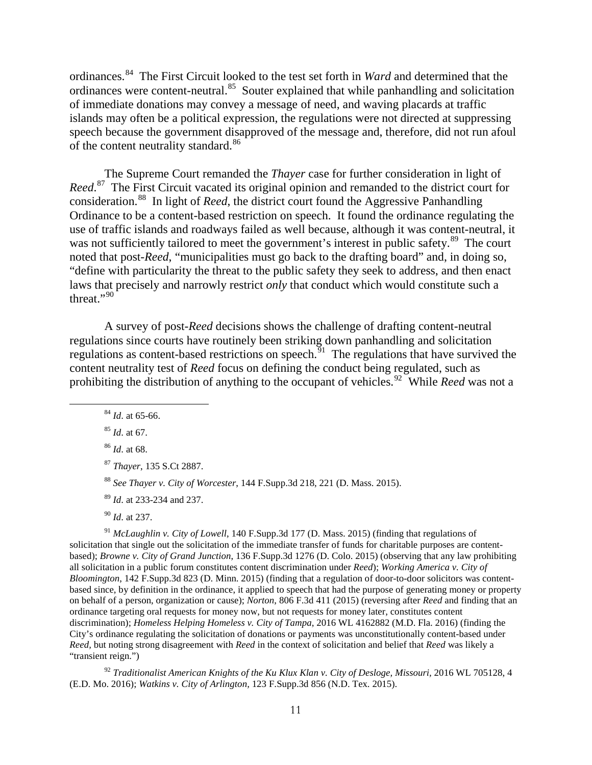ordinances.[84](#page-11-0) The First Circuit looked to the test set forth in *Ward* and determined that the ordinances were content-neutral.<sup>[85](#page-11-1)</sup> Souter explained that while panhandling and solicitation of immediate donations may convey a message of need, and waving placards at traffic islands may often be a political expression, the regulations were not directed at suppressing speech because the government disapproved of the message and, therefore, did not run afoul of the content neutrality standard.<sup>[86](#page-11-2)</sup>

The Supreme Court remanded the *Thayer* case for further consideration in light of *Reed*. [87](#page-11-3) The First Circuit vacated its original opinion and remanded to the district court for consideration.[88](#page-11-4) In light of *Reed*, the district court found the Aggressive Panhandling Ordinance to be a content-based restriction on speech. It found the ordinance regulating the use of traffic islands and roadways failed as well because, although it was content-neutral, it was not sufficiently tailored to meet the government's interest in public safety.<sup>[89](#page-11-5)</sup> The court noted that post-*Reed*, "municipalities must go back to the drafting board" and, in doing so, "define with particularity the threat to the public safety they seek to address, and then enact laws that precisely and narrowly restrict *only* that conduct which would constitute such a threat."<sup>[90](#page-11-6)</sup>

A survey of post-*Reed* decisions shows the challenge of drafting content-neutral regulations since courts have routinely been striking down panhandling and solicitation regulations as content-based restrictions on speech.  $\frac{5}{91}$  The regulations that have survived the content neutrality test of *Reed* focus on defining the conduct being regulated, such as prohibiting the distribution of anything to the occupant of vehicles.<sup>[92](#page-11-8)</sup> While *Reed* was not a

<span id="page-11-1"></span><sup>85</sup> *Id*. at 67.

<span id="page-11-7"></span><span id="page-11-6"></span><span id="page-11-5"></span><span id="page-11-4"></span><span id="page-11-3"></span><sup>91</sup> *McLaughlin v. City of Lowell*, 140 F.Supp.3d 177 (D. Mass. 2015) (finding that regulations of solicitation that single out the solicitation of the immediate transfer of funds for charitable purposes are contentbased); *Browne v. City of Grand Junction*, 136 F.Supp.3d 1276 (D. Colo. 2015) (observing that any law prohibiting all solicitation in a public forum constitutes content discrimination under *Reed*); *Working America v. City of Bloomington*, 142 F.Supp.3d 823 (D. Minn. 2015) (finding that a regulation of door-to-door solicitors was contentbased since, by definition in the ordinance, it applied to speech that had the purpose of generating money or property on behalf of a person, organization or cause); *Norton*, 806 F.3d 411 (2015) (reversing after *Reed* and finding that an ordinance targeting oral requests for money now, but not requests for money later, constitutes content discrimination); *Homeless Helping Homeless v. City of Tampa*, 2016 WL 4162882 (M.D. Fla. 2016) (finding the City's ordinance regulating the solicitation of donations or payments was unconstitutionally content-based under *Reed,* but noting strong disagreement with *Reed* in the context of solicitation and belief that *Reed* was likely a "transient reign.")

<span id="page-11-8"></span><sup>92</sup> Traditionalist American Knights of the Ku Klux Klan v. City of Desloge, Missouri, 2016 WL 705128, 4 (E.D. Mo. 2016); *Watkins v. City of Arlington,* 123 F.Supp.3d 856 (N.D. Tex. 2015).

<span id="page-11-0"></span><sup>84</sup> *Id*. at 65-66.

<span id="page-11-2"></span><sup>86</sup> *Id*. at 68.

<sup>87</sup> *Thayer*, 135 S.Ct 2887.

<sup>88</sup> *See Thayer v. City of Worcester*, 144 F.Supp.3d 218, 221 (D. Mass. 2015).

<sup>89</sup> *Id*. at 233-234 and 237.

<sup>90</sup> *Id*. at 237.